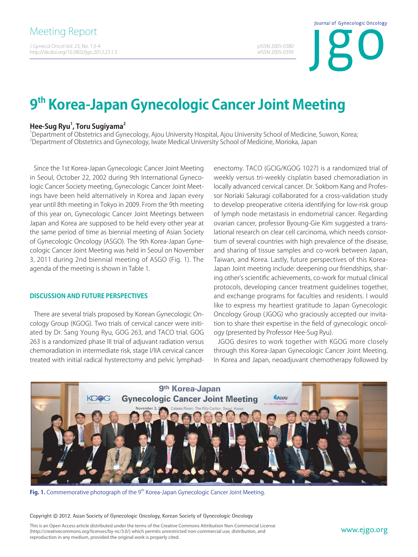J Gynecol Oncol Vol. 23, No. 1:3-4 http://dx.doi.org/10.3802/jgo.2012.23.1.3 Journal of Gynecologic Oncology

pISSN 2005-0380 eISSN 2005-0399

# **9th Korea-Japan Gynecologic Cancer Joint Meeting**

# **Hee-Sug Ryu1 , Toru Sugiyama2**

<sup>1</sup>Department of Obstetrics and Gynecology, Ajou University Hospital, Ajou University School of Medicine, Suwon, Korea; 2 Department of Obstetrics and Gynecology, Iwate Medical University School of Medicine, Morioka, Japan

Since the 1st Korea-Japan Gynecologic Cancer Joint Meeting in Seoul, October 22, 2002 during 9th International Gynecologic Cancer Society meeting, Gynecologic Cancer Joint Meetings have been held alternatively in Korea and Japan every year until 8th meeting in Tokyo in 2009. From the 9th meeting of this year on, Gynecologic Cancer Joint Meetings between Japan and Korea are supposed to be held every other year at the same period of time as biennial meeting of Asian Society of Gynecologic Oncology (ASGO). The 9th Korea-Japan Gynecologic Cancer Joint Meeting was held in Seoul on November 3, 2011 during 2nd biennial meeting of ASGO (Fig. 1). The agenda of the meeting is shown in Table 1.

# **DISCUSSION AND FUTURE PERSPECTIVES**

There are several trials proposed by Korean Gynecologic Oncology Group (KGOG). Two trials of cervical cancer were initiated by Dr. Sang Young Ryu, GOG 263, and TACO trial. GOG 263 is a randomized phase III trial of adjuvant radiation versus chemoradiation in intermediate risk, stage I/IIA cervical cancer treated with initial radical hysterectomy and pelvic lymphadenectomy. TACO (GCIG/KGOG 1027) is a randomized trial of weekly versus tri-weekly cisplatin based chemoradiation in locally advanced cervical cancer. Dr. Sokbom Kang and Professor Noriaki Sakuragi collaborated for a cross-validation study to develop preoperative criteria identifying for low-risk group of lymph node metastasis in endometrial cancer. Regarding ovarian cancer, professor Byoung-Gie Kim suggested a translational research on clear cell carcinoma, which needs consortium of several countries with high prevalence of the disease, and sharing of tissue samples and co-work between Japan, Taiwan, and Korea. Lastly, future perspectives of this Korea-Japan Joint meeting include: deepening our friendships, sharing other's scientific achievements, co-work for mutual clinical protocols, developing cancer treatment guidelines together, and exchange programs for faculties and residents. I would like to express my heartiest gratitude to Japan Gynecologic Oncology Group (JGOG) who graciously accepted our invitation to share their expertise in the field of gynecologic oncology (presented by Professor Hee-Sug Ryu).

JGOG desires to work together with KGOG more closely through this Korea-Japan Gynecologic Cancer Joint Meeting. In Korea and Japan, neoadjuvant chemotherapy followed by



Fig. 1. Commemorative photograph of the 9<sup>th</sup> Korea-Japan Gynecologic Cancer Joint Meeting.

#### Copyright © 2012. Asian Society of Gynecologic Oncology, Korean Society of Gynecologic Oncology

This is an Open Access article distributed under the terms of the Creative Commons Attribution Non-Commercial License (http://creativecommons.org/licenses/by-nc/3.0/) which permits unrestricted non-commercial use, distribution, and reproduction in any medium, provided the original work is properly cited.